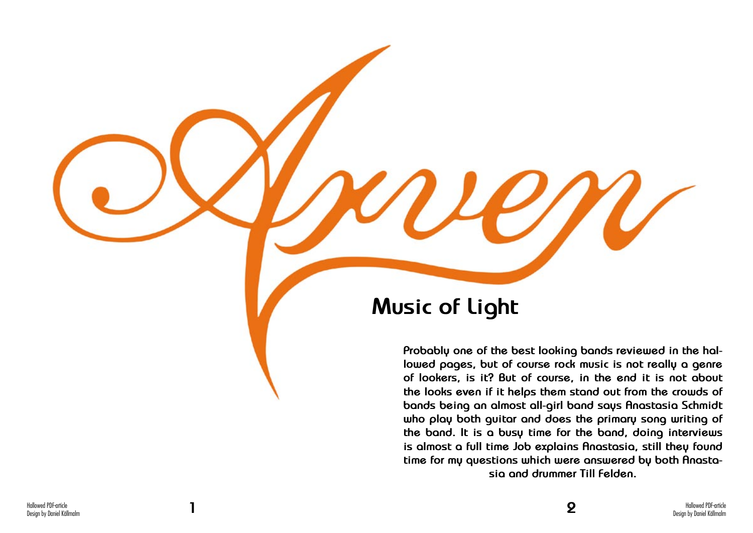

## **Music of Light**

**Probably one of the best looking bands reviewed in the hallowed pages, but of course rock music is not really a genre of lookers, is it? But of course, in the end it is not about the looks even if it helps them stand out from the crowds of bands being an almost all-girl band says Anastasia Schmidt who play both guitar and does the primary song writing of the band. It is a busy time for the band, doing interviews is almost a full time Job explains Anastasia, still they found time for my questions which were answered by both Anastasia and drummer Till Felden.**

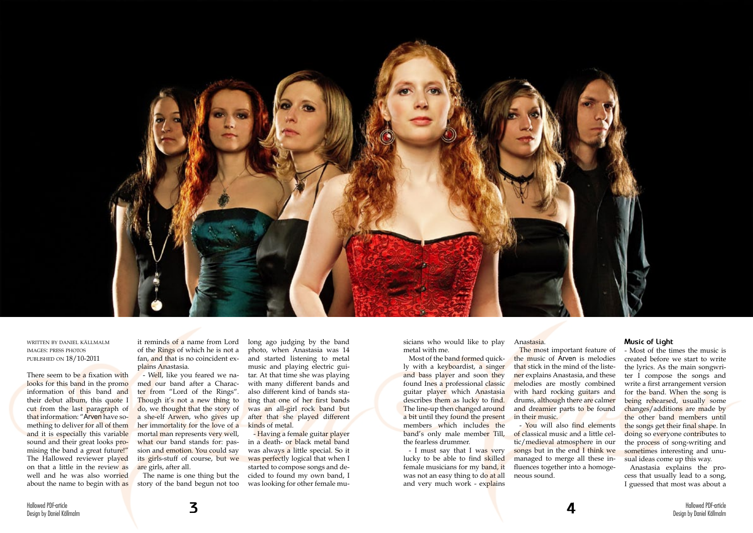

written by daniel källmalm images: press photos published on 18/10-2011

There seem to be a fixation with looks for this band in the promoinformation of this band and their debut album, this quote I cut from the last paragraph of that information: "Arven have something to deliver for all of them and it is especially this variable sound and their great looks promising the band a great future!" The Hallowed reviewer played on that a little in the review as well and he was also worried about the name to begin with as it reminds of a name from Lord of the Rings of which he is not a fan, and that is no coincident explains Anastasia.

> - Having a female guitar player in a death- or black metal band was always a little special. So it was perfectly logical that when I started to compose songs and decided to found my own band, I was looking for other female mu-

- Well, like you feared we named our band after a Character from "Lord of the Rings". Though it's not a new thing to do, we thought that the story of a she-elf Arwen, who gives up her immortality for the love of a mortal man represents very well, what our band stands for: passion and emotion. You could say its girls-stuff of course, but we are girls, after all.

The name is one thing but the story of the band begun not too

- I must say that I was very lucky to be able to find skilled female musicians for my band, it was not an easy thing to do at all and very much work - explains

The most important feature of the music of Arven is melodies that stick in the mind of the listener explains Anastasia, and these melodies are mostly combined with hard rocking guitars and drums, although there are calmer and dreamier parts to be found in their music.

long ago judging by the band photo, when Anastasia was 14 and started listening to metal music and playing electric guitar. At that time she was playing with many different bands and also different kind of bands stating that one of her first bands was an all-girl rock band but after that she played different kinds of metal.

sicians who would like to play metal with me.

Most of the band formed quickly with a keyboardist, a singer and bass player and soon they found Ines a professional classic guitar player which Anastasia describes them as lucky to find. The line-up then changed around a bit until they found the present members which includes the band's only male member Till, the fearless drummer.

Anastasia.

- You will also find elements of classical music and a little celtic/medieval atmosphere in our songs but in the end I think we managed to merge all these influences together into a homogeneous sound.

## **Music of Light**

- Most of the times the music is created before we start to write the lyrics. As the main songwriter I compose the songs and write a first arrangement version for the band. When the song is being rehearsed, usually some changes/additions are made by the other band members until the songs get their final shape. In doing so everyone contributes to the process of song-writing and sometimes interesting and unusual ideas come up this way.

Anastasia explains the process that usually lead to a song, I guessed that most was about a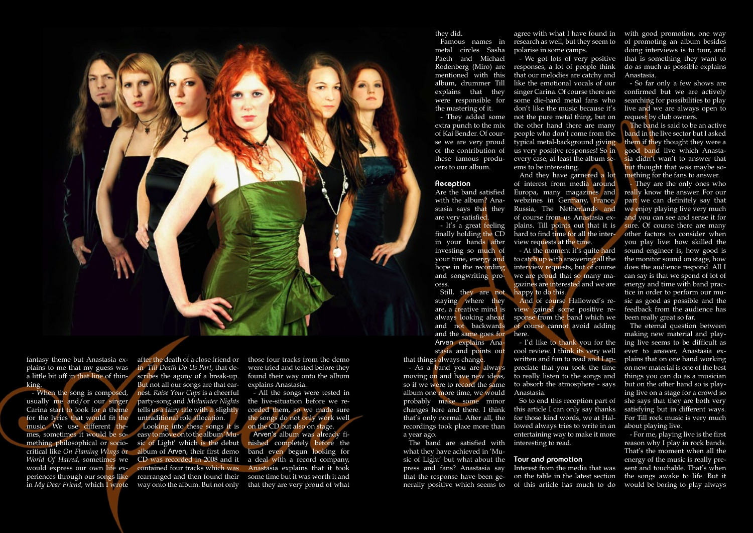

fantasy theme but Anastasia explains to me that my guess was a little bit off in that line of thinking.

- When the song is composed, usually me and/or our singer Carina start to look for a theme for the lyrics that would fit the music. We use different themes, sometimes it would be something philosophical or sociowould express our own life experiences through our songs like in *My Dear Friend*, which I wrote way onto the album. But not only

after the death of a close friend or in *Till Death Do Us Part*, that describes the agony of a break-up. But not all our songs are that earnest. *Raise Your Cups* is a cheerful party-song and *Midwinter Nights* tells us a fairy tale with a slightly untraditional role allocation.

critical like *On Flaming Wings* or album of Arven, their first demo *World Of Hatred*, sometimes we CD was recorded in 2008 and it Looking into these songs it is easy to move on to the album 'Music of Light' which is the debut contained four tracks which was rearranged and then found their

those four tracks from the demo were tried and tested before they found their way onto the album explains Anastasia.

- All the songs were tested in the live-situation before we recorded them, so we made sure the songs do not only work well on the CD but also on stage.

Arven's album was already finished completely before the band even begun looking for a deal with a record company, Anastasia explains that it took some time but it was worth it and that they are very proud of what

that things always change.

- As a band you are always moving on and have new ideas, so if we were to record the same album one more time, we would probably make some minor changes here and there. I think that's only normal. After all, the recordings took place more than a year ago.

research as well, but they seem to polarise in some camps. - We got lots of very positive

> They are the only ones who really know the answer. For our part we can definitely say that we enjoy playing live very much and you can see and sense it for sure. Of course there are many other factors to consider when you play live: how skilled the sound engineer is, how good is the monitor sound on stage, how does the audience respond. All I can say is that we spend of lot of energy and time with band practice in order to perform our music as good as possible and the feedback from the audience has been really great so far.

responses, a lot of people think that our melodies are catchy and like the emotional vocals of our singer Carina. Of course there are some die-hard metal fans who don't like the music because it's not the pure metal thing, but on the other hand there are many people who don't come from the typical metal-background giving us very positive responses! So in every case, at least the album seems to be interesting.

And they have garnered a lot of interest from media around Europa, many magazines and webzines in Germany, France, Russia, The Netherlands and of course from us Anastasia explains. Till points out that it is hard to find time for all the interview requests at the time.

The band are satisfied with what they have achieved in 'Music of Light' but what about the **Tour and promotion** press and fans? Anastasia say nerally positive which seems to of this article has much to do

that the response have been ge-on the table in the latest section Interest from the media that was

- At the moment it's quite hard

agree with what I have found in with good promotion, one way of promoting an album besides doing interviews is to tour, and that is something they want to do as much as possible explains Anastasia.

to catch up with answering all the interview requests, but of course we are proud that so many magazines are interested and we are happy to do this.

and the same goes for here. Still, they are not staying where they are, a creative mind is always looking ahead and not backwards Arven explains Anastasia and points out

And of course Hallowed's review gained some positive response from the band which we of course cannot avoid adding

- I'd like to thank you for the cool review. I think its very well written and fun to read and I appreciate that you took the time

to really listen to the songs and to absorb the atmosphere - says Anastasia. So to end this reception part of this article I can only say thanks for those kind words, we at Hallowed always tries to write in an entertaining way to make it more interesting to read.

- So far only a few shows are confirmed but we are actively searching for possibilities to play live and we are always open to request by club owners.

The band is said to be an active band in the live sector but I asked them if they thought they were a good band live which Anastasia didn't wan't to answer that but thought that was maybe something for the fans to answer.

The eternal question between making new material and playing live seems to be difficult as ever to answer, Anastasia explains that on one hand working on new material is one of the best things you can do as a musician but on the other hand so is playing live on a stage for a crowd so she says that they are both very satisfying but in different ways. For Till rock music is very much about playing live.

- For me, playing live is the first reason why I play in rock bands. That's the moment when all the energy of the music is really present and touchable. That's when the songs awake to life. But it would be boring to play always

they did.

Famous names in metal circles Sasha Paeth and Michael Rodenberg (Miro) are mentioned with this album, drummer Till explains that they were responsible for the mastering of it.

- They added some extra punch to the mix of Kai Bender. Of course we are very proud of the contribution of these famous producers to our album.

## **Reception**

Are the band satisfied with the album? Anastasia says that they are very satisfied.

- It's a great feeling finally holding the CD in your hands after investing so much of your time, energy and hope in the recording and songwriting process.